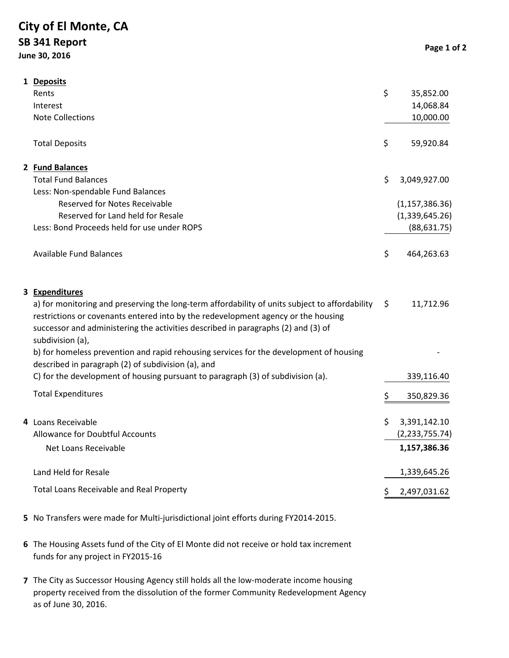## **City of El Monte, CA SB 341 Report June 30, 2016**

| 1 Deposits                                                                                                                                                                                                                                                                                   |                    |
|----------------------------------------------------------------------------------------------------------------------------------------------------------------------------------------------------------------------------------------------------------------------------------------------|--------------------|
| Rents                                                                                                                                                                                                                                                                                        | \$<br>35,852.00    |
| Interest                                                                                                                                                                                                                                                                                     | 14,068.84          |
| <b>Note Collections</b>                                                                                                                                                                                                                                                                      | 10,000.00          |
| <b>Total Deposits</b>                                                                                                                                                                                                                                                                        | \$<br>59,920.84    |
| 2 Fund Balances                                                                                                                                                                                                                                                                              |                    |
| <b>Total Fund Balances</b>                                                                                                                                                                                                                                                                   | \$<br>3,049,927.00 |
| Less: Non-spendable Fund Balances                                                                                                                                                                                                                                                            |                    |
| <b>Reserved for Notes Receivable</b>                                                                                                                                                                                                                                                         | (1, 157, 386.36)   |
| Reserved for Land held for Resale                                                                                                                                                                                                                                                            | (1,339,645.26)     |
| Less: Bond Proceeds held for use under ROPS                                                                                                                                                                                                                                                  | (88, 631.75)       |
| Available Fund Balances                                                                                                                                                                                                                                                                      | \$<br>464,263.63   |
| 3 Expenditures                                                                                                                                                                                                                                                                               |                    |
| a) for monitoring and preserving the long-term affordability of units subject to affordability<br>restrictions or covenants entered into by the redevelopment agency or the housing<br>successor and administering the activities described in paragraphs (2) and (3) of<br>subdivision (a), | \$<br>11,712.96    |
| b) for homeless prevention and rapid rehousing services for the development of housing<br>described in paragraph (2) of subdivision (a), and                                                                                                                                                 |                    |
| C) for the development of housing pursuant to paragraph (3) of subdivision (a).                                                                                                                                                                                                              | 339,116.40         |
| <b>Total Expenditures</b>                                                                                                                                                                                                                                                                    | \$<br>350,829.36   |
| 4 Loans Receivable                                                                                                                                                                                                                                                                           | \$<br>3,391,142.10 |
| Allowance for Doubtful Accounts                                                                                                                                                                                                                                                              | (2, 233, 755.74)   |
| Net Loans Receivable                                                                                                                                                                                                                                                                         | 1,157,386.36       |
| Land Held for Resale                                                                                                                                                                                                                                                                         | 1,339,645.26       |
| Total Loans Receivable and Real Property                                                                                                                                                                                                                                                     | \$<br>2,497,031.62 |

- **5** No Transfers were made for Multi-jurisdictional joint efforts during FY2014-2015.
- **6** The Housing Assets fund of the City of El Monte did not receive or hold tax increment funds for any project in FY2015-16
- **7** The City as Successor Housing Agency still holds all the low-moderate income housing property received from the dissolution of the former Community Redevelopment Agency as of June 30, 2016.